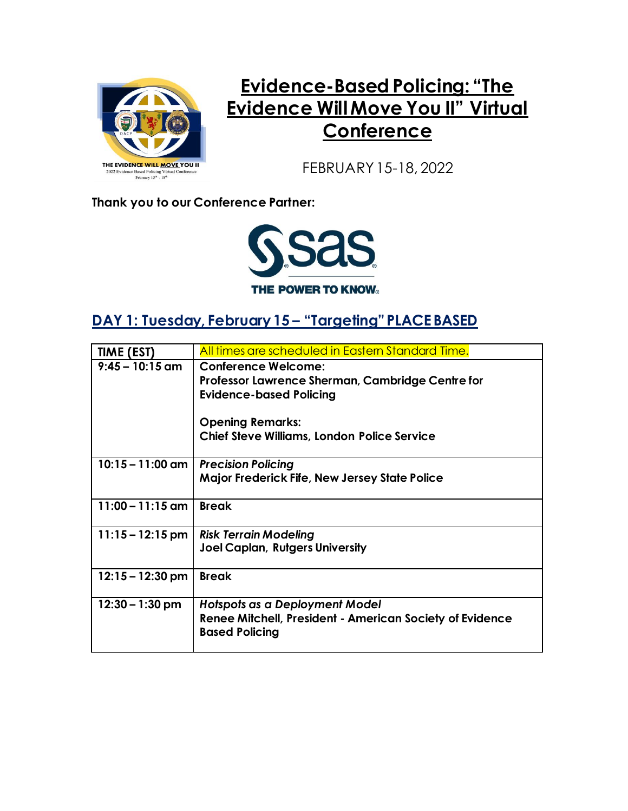

## **Evidence-Based Policing: "The Evidence Will Move You II" Virtual Conference**

FEBRUARY 15-18, 2022

**Thank you to our Conference Partner:**



#### **DAY 1: Tuesday, February 15 – "Targeting" PLACE BASED**

| TIME (EST)                 | All times are scheduled in Eastern Standard Time.        |
|----------------------------|----------------------------------------------------------|
| $9:45 - 10:15$ am          | <b>Conference Welcome:</b>                               |
|                            | Professor Lawrence Sherman, Cambridge Centre for         |
|                            | <b>Evidence-based Policing</b>                           |
|                            |                                                          |
|                            | <b>Opening Remarks:</b>                                  |
|                            | <b>Chief Steve Williams, London Police Service</b>       |
| $10:15 - 11:00$ am         | <b>Precision Policing</b>                                |
|                            | Major Frederick Fife, New Jersey State Police            |
|                            |                                                          |
| $11:00 - 11:15$ am $\vert$ | <b>Break</b>                                             |
|                            |                                                          |
| $11:15 - 12:15$ pm         | <b>Risk Terrain Modeling</b>                             |
|                            | <b>Joel Caplan, Rutgers University</b>                   |
|                            |                                                          |
| $12:15 - 12:30$ pm         | <b>Break</b>                                             |
|                            |                                                          |
| $12:30 - 1:30$ pm          | Hotspots as a Deployment Model                           |
|                            | Renee Mitchell, President - American Society of Evidence |
|                            | <b>Based Policing</b>                                    |
|                            |                                                          |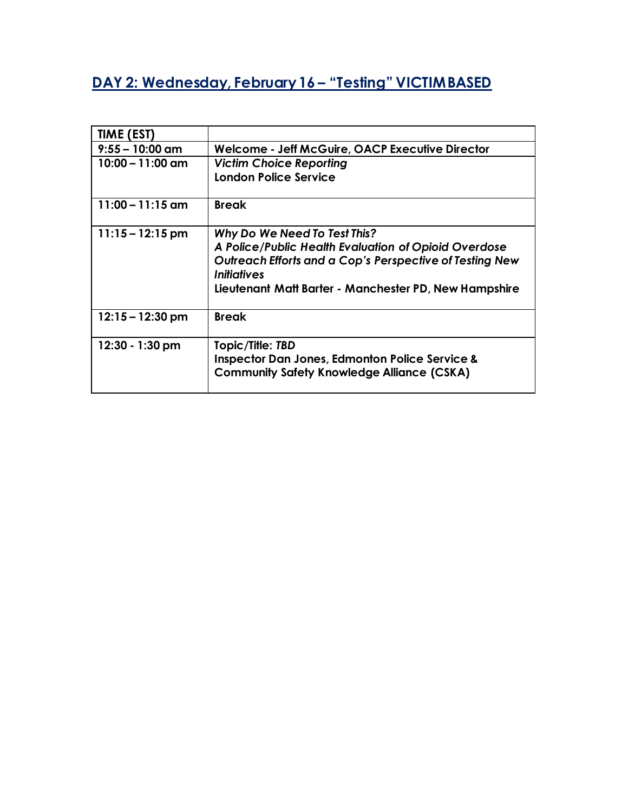### **DAY 2: Wednesday, February 16 – "Testing" VICTIM BASED**

| TIME (EST)         |                                                                                             |
|--------------------|---------------------------------------------------------------------------------------------|
| $9:55 - 10:00$ am  | Welcome - Jeff McGuire, OACP Executive Director                                             |
| $10:00 - 11:00$ am | <b>Victim Choice Reporting</b>                                                              |
|                    | <b>London Police Service</b>                                                                |
| $11:00 - 11:15$ am | <b>Break</b>                                                                                |
| $11:15 - 12:15$ pm | Why Do We Need To Test This?                                                                |
|                    | A Police/Public Health Evaluation of Opioid Overdose                                        |
|                    | Outreach Efforts and a Cop's Perspective of Testing New<br><i><u><b>Initiatives</b></u></i> |
|                    | Lieutenant Matt Barter - Manchester PD, New Hampshire                                       |
| $12:15 - 12:30$ pm | <b>Break</b>                                                                                |
| 12:30 - 1:30 pm    | Topic/Title: TBD                                                                            |
|                    | <b>Inspector Dan Jones, Edmonton Police Service &amp;</b>                                   |
|                    | <b>Community Safety Knowledge Alliance (CSKA)</b>                                           |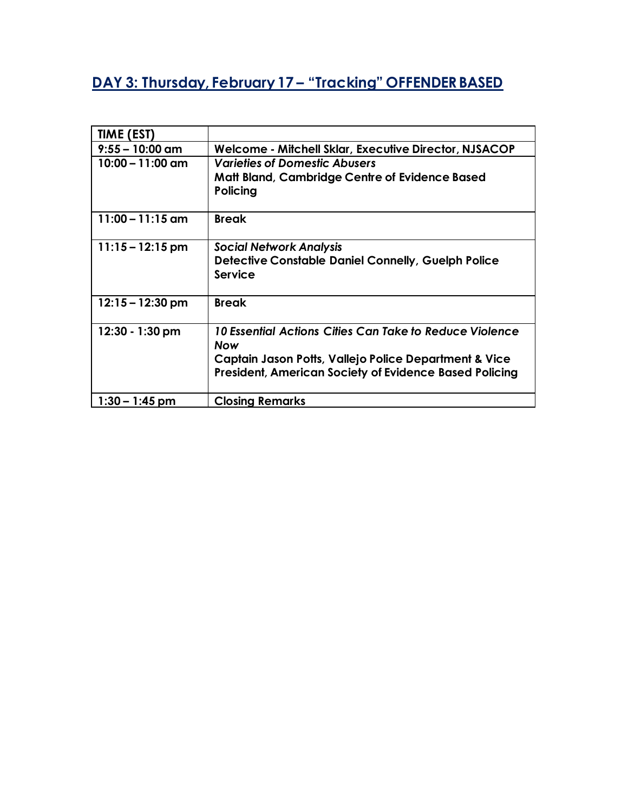# **DAY 3: Thursday, February 17 – "Tracking" OFFENDER BASED**

| TIME (EST)         |                                                               |
|--------------------|---------------------------------------------------------------|
| $9:55 - 10:00$ am  | Welcome - Mitchell Sklar, Executive Director, NJSACOP         |
| $10:00 - 11:00$ am | <b>Varieties of Domestic Abusers</b>                          |
|                    | <b>Matt Bland, Cambridge Centre of Evidence Based</b>         |
|                    | Policing                                                      |
| $11:00 - 11:15$ am | <b>Break</b>                                                  |
|                    |                                                               |
| $11:15 - 12:15$ pm | <b>Social Network Analysis</b>                                |
|                    | <b>Detective Constable Daniel Connelly, Guelph Police</b>     |
|                    | <b>Service</b>                                                |
|                    |                                                               |
| $12:15 - 12:30$ pm | <b>Break</b>                                                  |
| $12:30 - 1:30$ pm  | 10 Essential Actions Cities Can Take to Reduce Violence       |
|                    | <b>Now</b>                                                    |
|                    | Captain Jason Potts, Vallejo Police Department & Vice         |
|                    | <b>President, American Society of Evidence Based Policing</b> |
|                    |                                                               |
| $1:30 - 1:45$ pm   | <b>Closing Remarks</b>                                        |